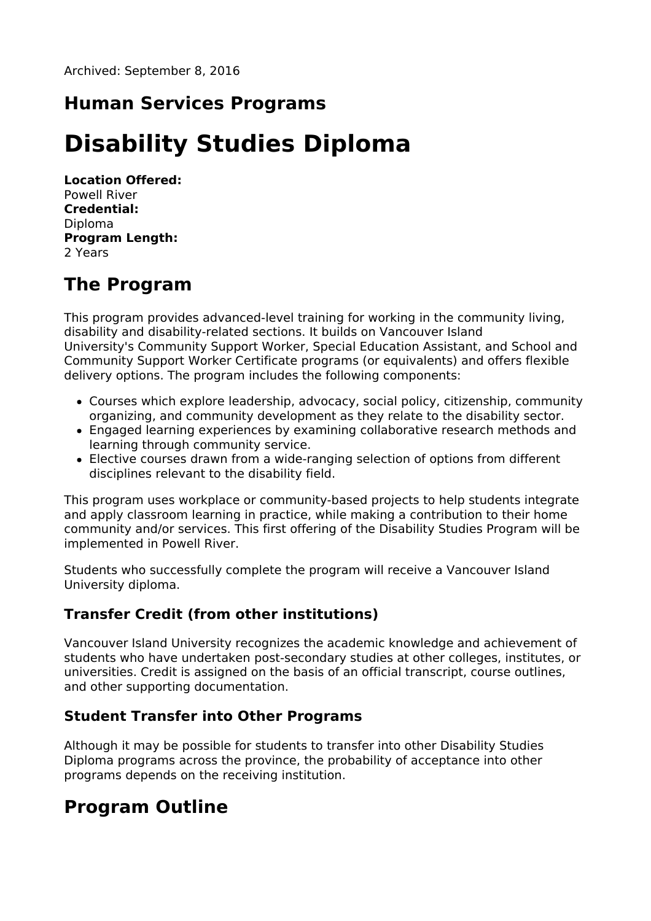## **Human Services Programs**

# **Disability Studies Diploma**

**Location Offered:** Powell River **Credential:** Diploma **Program Length:** 2 Years

## **The Program**

This program provides advanced-level training for working in the community living, disability and disability-related sections. It builds on Vancouver Island University's Community Support Worker, Special Education Assistant, and School and Community Support Worker Certificate programs (or equivalents) and offers flexible delivery options. The program includes the following components:

- Courses which explore leadership, advocacy, social policy, citizenship, community organizing, and community development as they relate to the disability sector.
- Engaged learning experiences by examining collaborative research methods and learning through community service.
- Elective courses drawn from a wide-ranging selection of options from different disciplines relevant to the disability field.

This program uses workplace or community-based projects to help students integrate and apply classroom learning in practice, while making a contribution to their home community and/or services. This first offering of the Disability Studies Program will be implemented in Powell River.

Students who successfully complete the program will receive a Vancouver Island University diploma.

### **Transfer Credit (from other institutions)**

Vancouver Island University recognizes the academic knowledge and achievement of students who have undertaken post-secondary studies at other colleges, institutes, or universities. Credit is assigned on the basis of an official transcript, course outlines, and other supporting documentation.

### **Student Transfer into Other Programs**

Although it may be possible for students to transfer into other Disability Studies Diploma programs across the province, the probability of acceptance into other programs depends on the receiving institution.

### **Program Outline**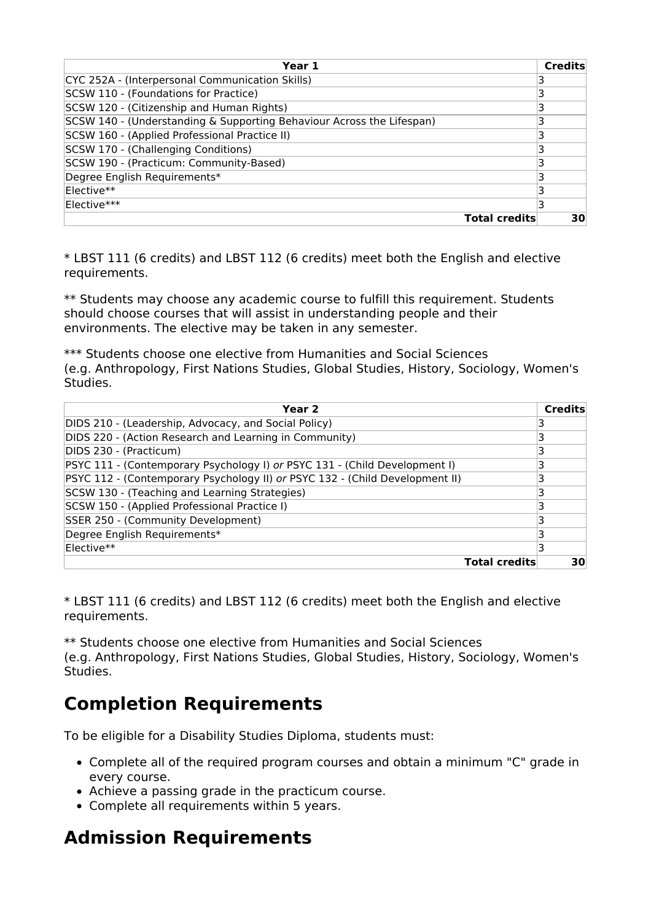| Year 1                                                                | <b>Credits</b> |
|-----------------------------------------------------------------------|----------------|
| CYC 252A - (Interpersonal Communication Skills)                       |                |
| SCSW 110 - (Foundations for Practice)                                 | 3              |
| SCSW 120 - (Citizenship and Human Rights)                             | 3              |
| SCSW 140 - (Understanding & Supporting Behaviour Across the Lifespan) | 3              |
| SCSW 160 - (Applied Professional Practice II)                         | 3              |
| SCSW 170 - (Challenging Conditions)                                   | 3              |
| SCSW 190 - (Practicum: Community-Based)                               |                |
| Degree English Requirements*                                          | 3              |
| Elective**                                                            | 3              |
| Elective***                                                           | 3              |
| <b>Total credits</b>                                                  | 30             |

\* LBST 111 (6 credits) and LBST 112 (6 credits) meet both the English and elective requirements.

\*\* Students may choose any academic course to fulfill this requirement. Students should choose courses that will assist in understanding people and their environments. The elective may be taken in any semester.

\*\*\* Students choose one elective from Humanities and Social Sciences (e.g. Anthropology, First Nations Studies, Global Studies, History, Sociology, Women's Studies.

| Year 2                                                                       | <b>Credits</b> |
|------------------------------------------------------------------------------|----------------|
| DIDS 210 - (Leadership, Advocacy, and Social Policy)                         |                |
| DIDS 220 - (Action Research and Learning in Community)                       | 3              |
| DIDS 230 - (Practicum)                                                       | 3              |
| PSYC 111 - (Contemporary Psychology I) or PSYC 131 - (Child Development I)   |                |
| PSYC 112 - (Contemporary Psychology II) or PSYC 132 - (Child Development II) |                |
| SCSW 130 - (Teaching and Learning Strategies)                                | 3              |
| SCSW 150 - (Applied Professional Practice I)                                 |                |
| SSER 250 - (Community Development)                                           | з              |
| Degree English Requirements*                                                 | 3              |
| Elective**                                                                   | 3              |
| <b>Total credits</b>                                                         | 30             |

\* LBST 111 (6 credits) and LBST 112 (6 credits) meet both the English and elective requirements.

\*\* Students choose one elective from Humanities and Social Sciences (e.g. Anthropology, First Nations Studies, Global Studies, History, Sociology, Women's Studies.

## **Completion Requirements**

To be eligible for a Disability Studies Diploma, students must:

- Complete all of the required program courses and obtain a minimum "C" grade in every course.
- Achieve a passing grade in the practicum course.
- Complete all requirements within 5 years.

## **Admission Requirements**